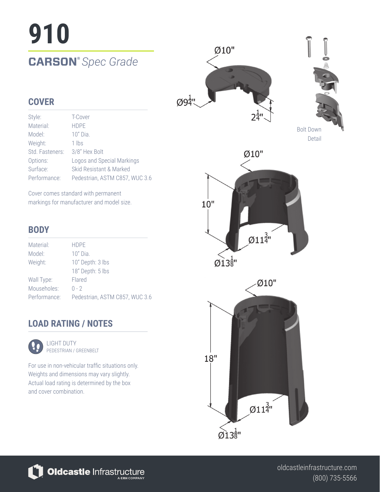# **910**

### **CARSON®** *Spec Grade*





### **COVER**

| Style:          | T-Cover                        |
|-----------------|--------------------------------|
| Material:       | <b>HDPE</b>                    |
| Model:          | $10"$ Dia.                     |
| Weight:         | 1 lbs                          |
| Std. Fasteners: | 3/8" Hex Bolt                  |
| Options:        | Logos and Special Markings     |
| Surface:        | Skid Resistant & Marked        |
| Performance:    | Pedestrian, ASTM C857, WUC 3.6 |

Cover comes standard with permanent markings for manufacturer and model size.

### **BODY**

| Material:    | <b>HDPE</b>                    |
|--------------|--------------------------------|
| Model:       | $10"$ Dia.                     |
| Weight:      | 10" Depth: 3 lbs               |
|              | 18" Depth: 5 lbs               |
| Wall Type:   | Flared                         |
| Mouseholes:  | $0 - 2$                        |
| Performance: | Pedestrian, ASTM C857, WUC 3.6 |

### **LOAD RATING / NOTES**



LIGHT DUTY PEDESTRIAN / GREENBELT

For use in non-vehicular traffic situations only. Weights and dimensions may vary slightly. Actual load rating is determined by the box and cover combination.



Oldcastle Infrastructure

(800) 735-5566 oldcastleinfrastructure.com